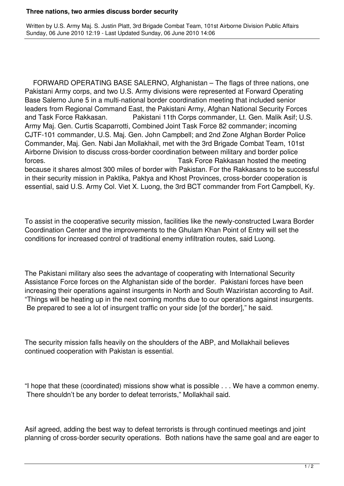## **Three nations, two armies discuss border security**

Written by U.S. Army Maj. S. Justin Platt, 3rd Brigade Combat Team, 101st Airborne Division Public Affairs Sunday, 06 June 2010 12:19 - Last Updated Sunday, 06 June 2010 14:06

 FORWARD OPERATING BASE SALERNO, Afghanistan – The flags of three nations, one Pakistani Army corps, and two U.S. Army divisions were represented at Forward Operating Base Salerno June 5 in a multi-national border coordination meeting that included senior leaders from Regional Command East, the Pakistani Army, Afghan National Security Forces and Task Force Rakkasan. Pakistani 11th Corps commander, Lt. Gen. Malik Asif; U.S. Army Maj. Gen. Curtis Scaparrotti, Combined Joint Task Force 82 commander; incoming CJTF-101 commander, U.S. Maj. Gen. John Campbell; and 2nd Zone Afghan Border Police Commander, Maj. Gen. Nabi Jan Mollakhail, met with the 3rd Brigade Combat Team, 101st Airborne Division to discuss cross-border coordination between military and border police forces. Task Force Rakkasan hosted the meeting because it shares almost 300 miles of border with Pakistan. For the Rakkasans to be successful in their security mission in Paktika, Paktya and Khost Provinces, cross-border cooperation is essential, said U.S. Army Col. Viet X. Luong, the 3rd BCT commander from Fort Campbell, Ky.

To assist in the cooperative security mission, facilities like the newly-constructed Lwara Border Coordination Center and the improvements to the Ghulam Khan Point of Entry will set the conditions for increased control of traditional enemy infiltration routes, said Luong.

The Pakistani military also sees the advantage of cooperating with International Security Assistance Force forces on the Afghanistan side of the border. Pakistani forces have been increasing their operations against insurgents in North and South Waziristan according to Asif. "Things will be heating up in the next coming months due to our operations against insurgents. Be prepared to see a lot of insurgent traffic on your side [of the border]," he said.

The security mission falls heavily on the shoulders of the ABP, and Mollakhail believes continued cooperation with Pakistan is essential.

"I hope that these (coordinated) missions show what is possible . . . We have a common enemy. There shouldn't be any border to defeat terrorists," Mollakhail said.

Asif agreed, adding the best way to defeat terrorists is through continued meetings and joint planning of cross-border security operations. Both nations have the same goal and are eager to